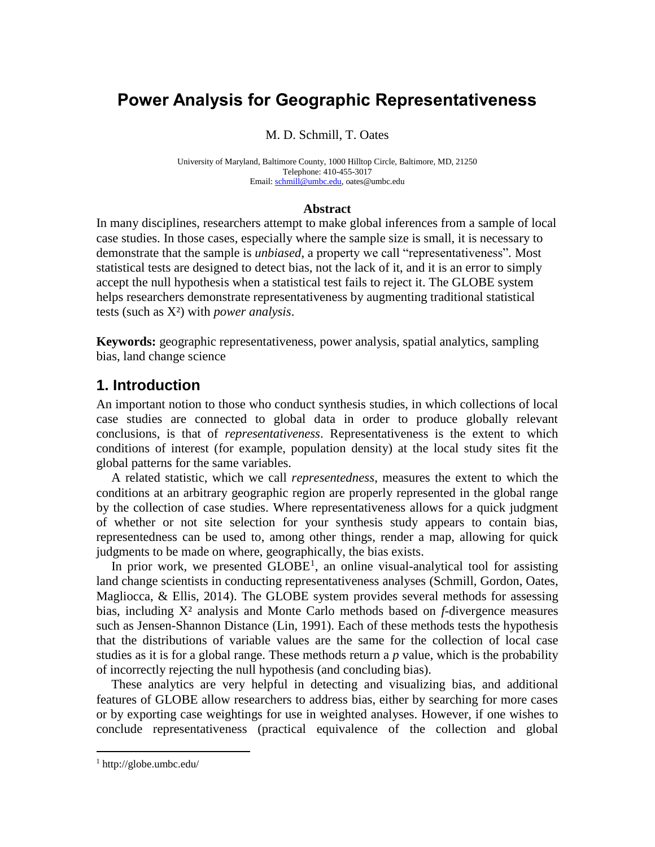# **Power Analysis for Geographic Representativeness**

#### M. D. Schmill, T. Oates

University of Maryland, Baltimore County, 1000 Hilltop Circle, Baltimore, MD, 21250 Telephone: 410-455-3017 Email: [schmill@umbc.edu,](mailto:schmill@umbc.edu) oates@umbc.edu

#### **Abstract**

In many disciplines, researchers attempt to make global inferences from a sample of local case studies. In those cases, especially where the sample size is small, it is necessary to demonstrate that the sample is *unbiased*, a property we call "representativeness"*.* Most statistical tests are designed to detect bias, not the lack of it, and it is an error to simply accept the null hypothesis when a statistical test fails to reject it. The GLOBE system helps researchers demonstrate representativeness by augmenting traditional statistical tests (such as X²) with *power analysis*.

**Keywords:** geographic representativeness, power analysis, spatial analytics, sampling bias, land change science

### **1. Introduction**

An important notion to those who conduct synthesis studies, in which collections of local case studies are connected to global data in order to produce globally relevant conclusions, is that of *representativeness*. Representativeness is the extent to which conditions of interest (for example, population density) at the local study sites fit the global patterns for the same variables.

A related statistic, which we call *representedness*, measures the extent to which the conditions at an arbitrary geographic region are properly represented in the global range by the collection of case studies. Where representativeness allows for a quick judgment of whether or not site selection for your synthesis study appears to contain bias, representedness can be used to, among other things, render a map, allowing for quick judgments to be made on where, geographically, the bias exists.

In prior work, we presented  $GLOBE<sup>1</sup>$ , an online visual-analytical tool for assisting land change scientists in conducting representativeness analyses (Schmill, Gordon, Oates, Magliocca, & Ellis, 2014). The GLOBE system provides several methods for assessing bias, including X² analysis and Monte Carlo methods based on *f*-divergence measures such as Jensen-Shannon Distance (Lin, 1991). Each of these methods tests the hypothesis that the distributions of variable values are the same for the collection of local case studies as it is for a global range. These methods return a *p* value, which is the probability of incorrectly rejecting the null hypothesis (and concluding bias).

These analytics are very helpful in detecting and visualizing bias, and additional features of GLOBE allow researchers to address bias, either by searching for more cases or by exporting case weightings for use in weighted analyses. However, if one wishes to conclude representativeness (practical equivalence of the collection and global

 $\overline{a}$ 

 $1$  http://globe.umbc.edu/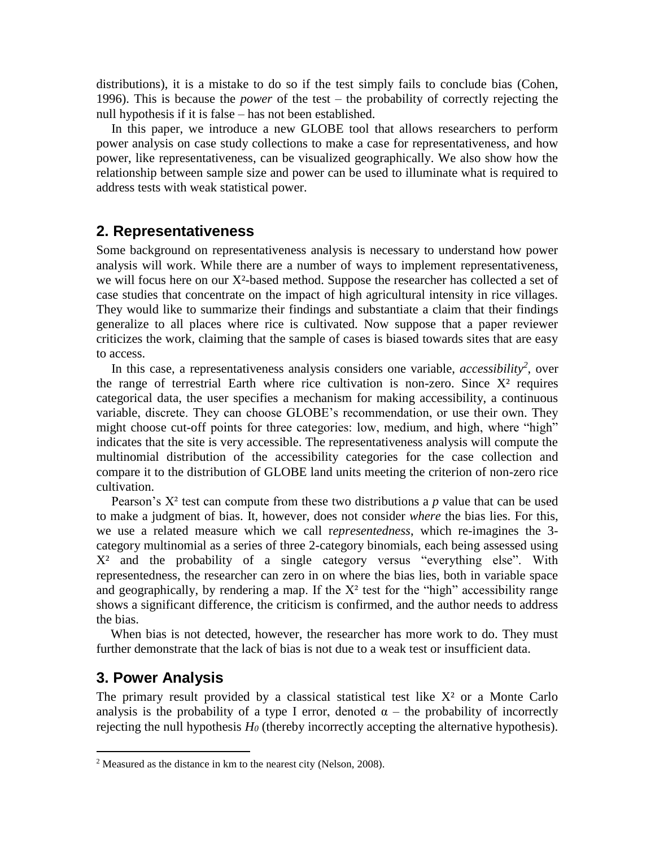distributions), it is a mistake to do so if the test simply fails to conclude bias (Cohen, 1996). This is because the *power* of the test – the probability of correctly rejecting the null hypothesis if it is false – has not been established.

In this paper, we introduce a new GLOBE tool that allows researchers to perform power analysis on case study collections to make a case for representativeness, and how power, like representativeness, can be visualized geographically. We also show how the relationship between sample size and power can be used to illuminate what is required to address tests with weak statistical power.

### **2. Representativeness**

Some background on representativeness analysis is necessary to understand how power analysis will work. While there are a number of ways to implement representativeness, we will focus here on our X²-based method. Suppose the researcher has collected a set of case studies that concentrate on the impact of high agricultural intensity in rice villages. They would like to summarize their findings and substantiate a claim that their findings generalize to all places where rice is cultivated. Now suppose that a paper reviewer criticizes the work, claiming that the sample of cases is biased towards sites that are easy to access.

In this case, a representativeness analysis considers one variable, *accessibility<sup>2</sup>* , over the range of terrestrial Earth where rice cultivation is non-zero. Since  $X<sup>2</sup>$  requires categorical data, the user specifies a mechanism for making accessibility, a continuous variable, discrete. They can choose GLOBE's recommendation, or use their own. They might choose cut-off points for three categories: low, medium, and high, where "high" indicates that the site is very accessible. The representativeness analysis will compute the multinomial distribution of the accessibility categories for the case collection and compare it to the distribution of GLOBE land units meeting the criterion of non-zero rice cultivation.

Pearson's X² test can compute from these two distributions a *p* value that can be used to make a judgment of bias. It, however, does not consider *where* the bias lies. For this, we use a related measure which we call r*epresentedness*, which re-imagines the 3 category multinomial as a series of three 2-category binomials, each being assessed using X² and the probability of a single category versus "everything else". With representedness, the researcher can zero in on where the bias lies, both in variable space and geographically, by rendering a map. If the  $X^2$  test for the "high" accessibility range shows a significant difference, the criticism is confirmed, and the author needs to address the bias.

When bias is not detected, however, the researcher has more work to do. They must further demonstrate that the lack of bias is not due to a weak test or insufficient data.

### **3. Power Analysis**

 $\overline{a}$ 

The primary result provided by a classical statistical test like  $X<sup>2</sup>$  or a Monte Carlo analysis is the probability of a type I error, denoted  $\alpha$  – the probability of incorrectly rejecting the null hypothesis *H<sup>0</sup>* (thereby incorrectly accepting the alternative hypothesis).

 $2^2$  Measured as the distance in km to the nearest city (Nelson, 2008).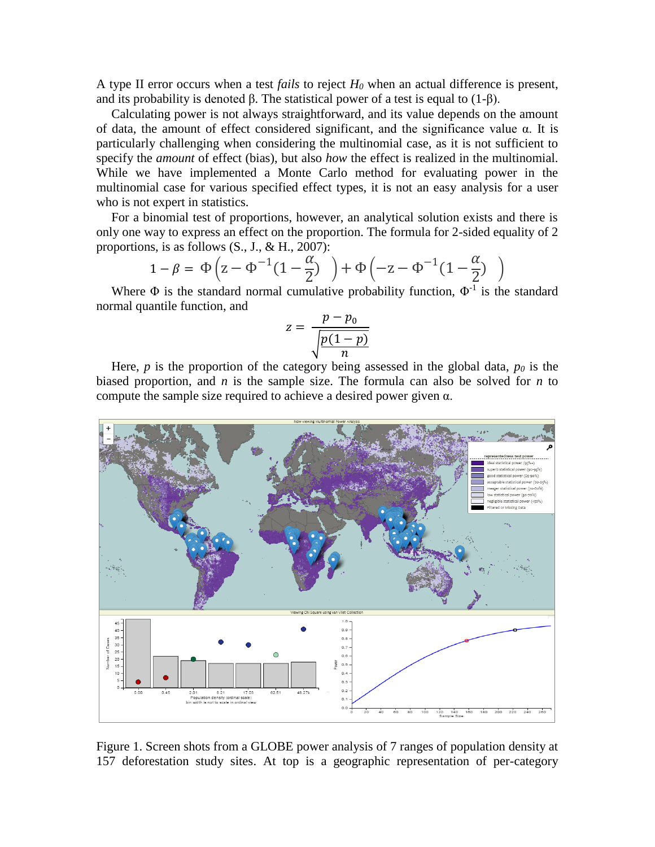A type II error occurs when a test *fails* to reject *H<sup>0</sup>* when an actual difference is present, and its probability is denoted  $\beta$ . The statistical power of a test is equal to (1- $\beta$ ).

Calculating power is not always straightforward, and its value depends on the amount of data, the amount of effect considered significant, and the significance value  $\alpha$ . It is particularly challenging when considering the multinomial case, as it is not sufficient to specify the *amount* of effect (bias), but also *how* the effect is realized in the multinomial. While we have implemented a Monte Carlo method for evaluating power in the multinomial case for various specified effect types, it is not an easy analysis for a user who is not expert in statistics.

For a binomial test of proportions, however, an analytical solution exists and there is only one way to express an effect on the proportion. The formula for 2-sided equality of 2 proportions, is as follows  $(S_., J., \& H., 2007)$ :

$$
1 - \beta = \Phi\left(z - \Phi^{-1}(1 - \frac{\alpha}{2})\right) + \Phi\left(-z - \Phi^{-1}(1 - \frac{\alpha}{2})\right)
$$

Where  $\Phi$  is the standard normal cumulative probability function,  $\Phi^{-1}$  is the standard normal quantile function, and

$$
z = \frac{p - p_0}{\sqrt{\frac{p(1-p)}{n}}}
$$

Here, *p* is the proportion of the category being assessed in the global data,  $p<sub>0</sub>$  is the biased proportion, and *n* is the sample size. The formula can also be solved for *n* to compute the sample size required to achieve a desired power given α.



Figure 1. Screen shots from a GLOBE power analysis of 7 ranges of population density at 157 deforestation study sites. At top is a geographic representation of per-category